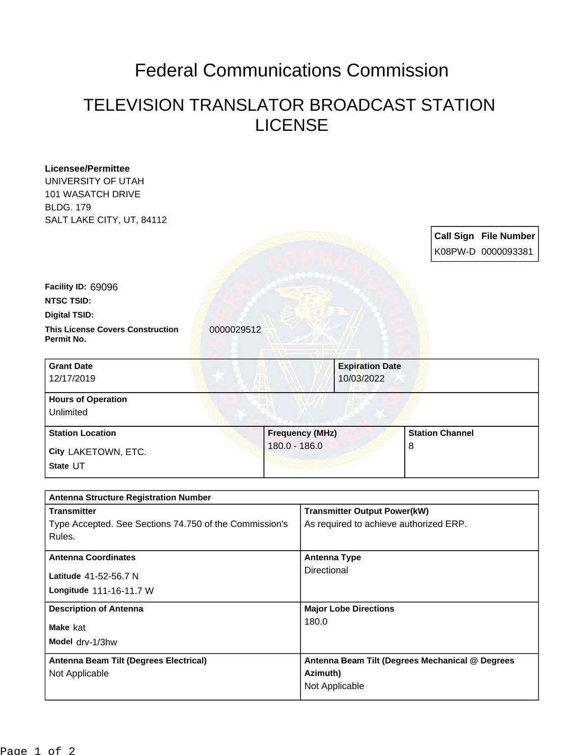## Federal Communications Commission

## TELEVISION TRANSLATOR BROADCAST STATION LICENSE

| <b>Licensee/Permittee</b><br>UNIVERSITY OF UTAH                  |            |                            |                                                  |                                                 |   |  |                              |
|------------------------------------------------------------------|------------|----------------------------|--------------------------------------------------|-------------------------------------------------|---|--|------------------------------|
| <b>101 WASATCH DRIVE</b><br><b>BLDG. 179</b>                     |            |                            |                                                  |                                                 |   |  |                              |
| SALT LAKE CITY, UT, 84112                                        |            |                            |                                                  |                                                 |   |  |                              |
|                                                                  |            |                            |                                                  |                                                 |   |  | <b>Call Sign File Number</b> |
|                                                                  |            |                            |                                                  |                                                 |   |  | K08PW-D 0000093381           |
|                                                                  |            |                            |                                                  |                                                 |   |  |                              |
| Facility ID: 69096                                               |            |                            |                                                  |                                                 |   |  |                              |
| <b>NTSC TSID:</b>                                                |            |                            |                                                  |                                                 |   |  |                              |
| <b>Digital TSID:</b>                                             |            |                            |                                                  |                                                 |   |  |                              |
| <b>This License Covers Construction</b><br>Permit No.            | 0000029512 |                            |                                                  |                                                 |   |  |                              |
| <b>Grant Date</b><br>12/17/2019                                  |            |                            |                                                  | <b>Expiration Date</b><br>10/03/2022            |   |  |                              |
| <b>Hours of Operation</b>                                        |            |                            |                                                  |                                                 |   |  |                              |
| Unlimited                                                        |            |                            |                                                  |                                                 |   |  |                              |
| <b>Station Location</b>                                          |            |                            | <b>Frequency (MHz)</b><br><b>Station Channel</b> |                                                 |   |  |                              |
| City LAKETOWN, ETC.                                              |            | 180.0 - 186.0              |                                                  |                                                 | 8 |  |                              |
| State UT                                                         |            |                            |                                                  |                                                 |   |  |                              |
| <b>Antenna Structure Registration Number</b>                     |            |                            |                                                  |                                                 |   |  |                              |
| <b>Transmitter</b>                                               |            |                            | <b>Transmitter Output Power(kW)</b>              |                                                 |   |  |                              |
| Type Accepted. See Sections 74.750 of the Commission's<br>Rules. |            |                            | As required to achieve authorized ERP.           |                                                 |   |  |                              |
| <b>Antenna Coordinates</b>                                       |            |                            | <b>Antenna Type</b>                              |                                                 |   |  |                              |
| Latitude 41-52-56.7 N                                            |            |                            | Directional                                      |                                                 |   |  |                              |
| Longitude 111-16-11.7 W                                          |            |                            |                                                  |                                                 |   |  |                              |
| <b>Description of Antenna</b>                                    |            |                            | <b>Major Lobe Directions</b><br>180.0            |                                                 |   |  |                              |
| Make kat                                                         |            |                            |                                                  |                                                 |   |  |                              |
| Model drv-1/3hw                                                  |            |                            |                                                  |                                                 |   |  |                              |
| Antenna Beam Tilt (Degrees Electrical)                           |            |                            |                                                  | Antenna Beam Tilt (Degrees Mechanical @ Degrees |   |  |                              |
| Not Applicable                                                   |            | Azimuth)<br>Not Applicable |                                                  |                                                 |   |  |                              |